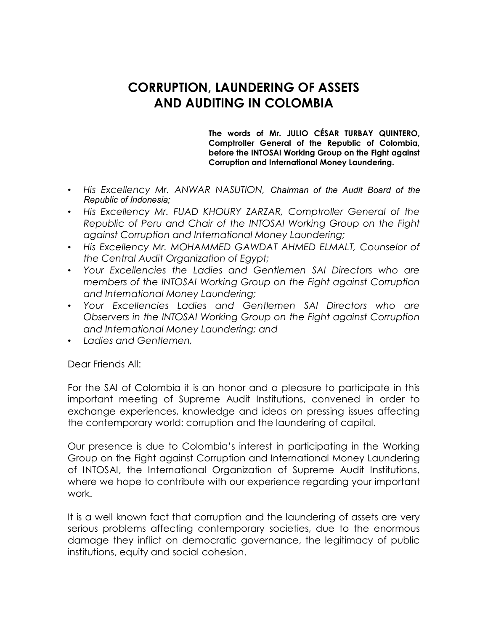## **CORRUPTION, LAUNDERING OF ASSETS AND AUDITING IN COLOMBIA**

**The words of Mr. JULIO CÉSAR TURBAY QUINTERO, Comptroller General of the Republic of Colombia, before the INTOSAI Working Group on the Fight against Corruption and International Money Laundering.**

- *His Excellency Mr. ANWAR NASUTION, Chairman of the Audit Board of the Republic of Indonesia;*
- *His Excellency Mr. FUAD KHOURY ZARZAR, Comptroller General of the Republic of Peru and Chair of the INTOSAI Working Group on the Fight against Corruption and International Money Laundering;*
- *His Excellency Mr. MOHAMMED GAWDAT AHMED ELMALT, Counselor of the Central Audit Organization of Egypt;*
- *Your Excellencies the Ladies and Gentlemen SAI Directors who are members of the INTOSAI Working Group on the Fight against Corruption and International Money Laundering;*
- *Your Excellencies Ladies and Gentlemen SAI Directors who are Observers in the INTOSAI Working Group on the Fight against Corruption and International Money Laundering; and*
- *Ladies and Gentlemen,*

Dear Friends All:

For the SAI of Colombia it is an honor and a pleasure to participate in this important meeting of Supreme Audit Institutions, convened in order to exchange experiences, knowledge and ideas on pressing issues affecting the contemporary world: corruption and the laundering of capital.

Our presence is due to Colombia's interest in participating in the Working Group on the Fight against Corruption and International Money Laundering of INTOSAI, the International Organization of Supreme Audit Institutions, where we hope to contribute with our experience regarding your important work.

It is a well known fact that corruption and the laundering of assets are very serious problems affecting contemporary societies, due to the enormous damage they inflict on democratic governance, the legitimacy of public institutions, equity and social cohesion.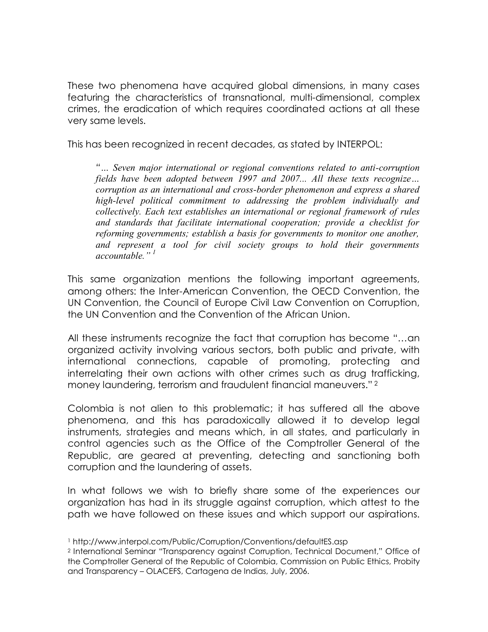These two phenomena have acquired global dimensions, in many cases featuring the characteristics of transnational, multi-dimensional, complex crimes, the eradication of which requires coordinated actions at all these very same levels.

This has been recognized in recent decades, as stated by INTERPOL:

*"… Seven major international or regional conventions related to anti-corruption fields have been adopted between 1997 and 2007... All these texts recognize… corruption as an international and cross-border phenomenon and express a shared high-level political commitment to addressing the problem individually and collectively. Each text establishes an international or regional framework of rules and standards that facilitate international cooperation; provide a checklist for reforming governments; establish a basis for governments to monitor one another, and represent a tool for civil society groups to hold their governments accountable." 1*

This same organization mentions the following important agreements, among others: the Inter-American Convention, the OECD Convention, the UN Convention, the Council of Europe Civil Law Convention on Corruption, the UN Convention and the Convention of the African Union.

All these instruments recognize the fact that corruption has become "…an organized activity involving various sectors, both public and private, with international connections, capable of promoting, protecting and interrelating their own actions with other crimes such as drug trafficking, money laundering, terrorism and fraudulent financial maneuvers." <sup>2</sup>

Colombia is not alien to this problematic; it has suffered all the above phenomena, and this has paradoxically allowed it to develop legal instruments, strategies and means which, in all states, and particularly in control agencies such as the Office of the Comptroller General of the Republic, are geared at preventing, detecting and sanctioning both corruption and the laundering of assets.

In what follows we wish to briefly share some of the experiences our organization has had in its struggle against corruption, which attest to the path we have followed on these issues and which support our aspirations.

<sup>1</sup> http://www.interpol.com/Public/Corruption/Conventions/defaultES.asp

<sup>2</sup> International Seminar "Transparency against Corruption, Technical Document," Office of the Comptroller General of the Republic of Colombia, Commission on Public Ethics, Probity and Transparency – OLACEFS, Cartagena de Indias, July, 2006.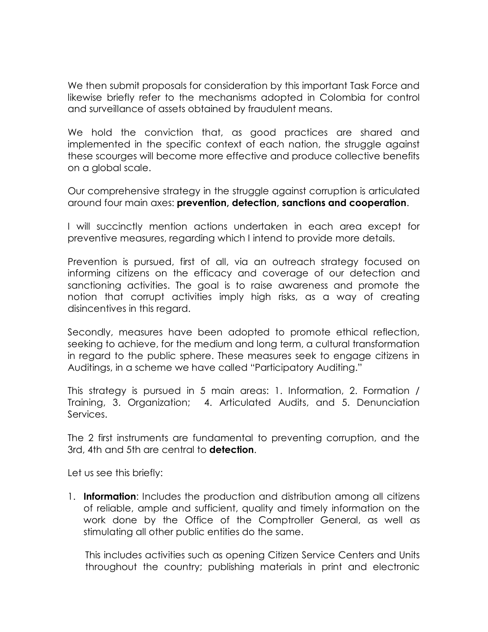We then submit proposals for consideration by this important Task Force and likewise briefly refer to the mechanisms adopted in Colombia for control and surveillance of assets obtained by fraudulent means.

We hold the conviction that, as good practices are shared and implemented in the specific context of each nation, the struggle against these scourges will become more effective and produce collective benefits on a global scale.

Our comprehensive strategy in the struggle against corruption is articulated around four main axes: **prevention, detection, sanctions and cooperation**.

I will succinctly mention actions undertaken in each area except for preventive measures, regarding which I intend to provide more details.

Prevention is pursued, first of all, via an outreach strategy focused on informing citizens on the efficacy and coverage of our detection and sanctioning activities. The goal is to raise awareness and promote the notion that corrupt activities imply high risks, as a way of creating disincentives in this regard.

Secondly, measures have been adopted to promote ethical reflection, seeking to achieve, for the medium and long term, a cultural transformation in regard to the public sphere. These measures seek to engage citizens in Auditings, in a scheme we have called "Participatory Auditing."

This strategy is pursued in 5 main areas: 1. Information, 2. Formation / Training, 3. Organization; 4. Articulated Audits, and 5. Denunciation Services.

The 2 first instruments are fundamental to preventing corruption, and the 3rd, 4th and 5th are central to **detection**.

Let us see this briefly:

1. **Information**: Includes the production and distribution among all citizens of reliable, ample and sufficient, quality and timely information on the work done by the Office of the Comptroller General, as well as stimulating all other public entities do the same.

This includes activities such as opening Citizen Service Centers and Units throughout the country; publishing materials in print and electronic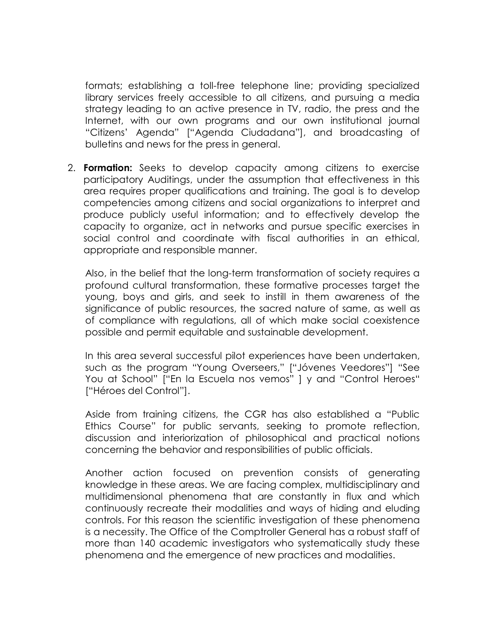formats; establishing a toll-free telephone line; providing specialized library services freely accessible to all citizens, and pursuing a media strategy leading to an active presence in TV, radio, the press and the Internet, with our own programs and our own institutional journal "Citizens' Agenda" ["Agenda Ciudadana"], and broadcasting of bulletins and news for the press in general.

2. **Formation:** Seeks to develop capacity among citizens to exercise participatory Auditings, under the assumption that effectiveness in this area requires proper qualifications and training. The goal is to develop competencies among citizens and social organizations to interpret and produce publicly useful information; and to effectively develop the capacity to organize, act in networks and pursue specific exercises in social control and coordinate with fiscal authorities in an ethical, appropriate and responsible manner.

Also, in the belief that the long-term transformation of society requires a profound cultural transformation, these formative processes target the young, boys and girls, and seek to instill in them awareness of the significance of public resources, the sacred nature of same, as well as of compliance with regulations, all of which make social coexistence possible and permit equitable and sustainable development.

In this area several successful pilot experiences have been undertaken, such as the program "Young Overseers," ["Jóvenes Veedores"] "See You at School" ["En la Escuela nos vemos" ] y and "Control Heroes" ["Héroes del Control"].

Aside from training citizens, the CGR has also established a "Public Ethics Course" for public servants, seeking to promote reflection, discussion and interiorization of philosophical and practical notions concerning the behavior and responsibilities of public officials.

Another action focused on prevention consists of generating knowledge in these areas. We are facing complex, multidisciplinary and multidimensional phenomena that are constantly in flux and which continuously recreate their modalities and ways of hiding and eluding controls. For this reason the scientific investigation of these phenomena is a necessity. The Office of the Comptroller General has a robust staff of more than 140 academic investigators who systematically study these phenomena and the emergence of new practices and modalities.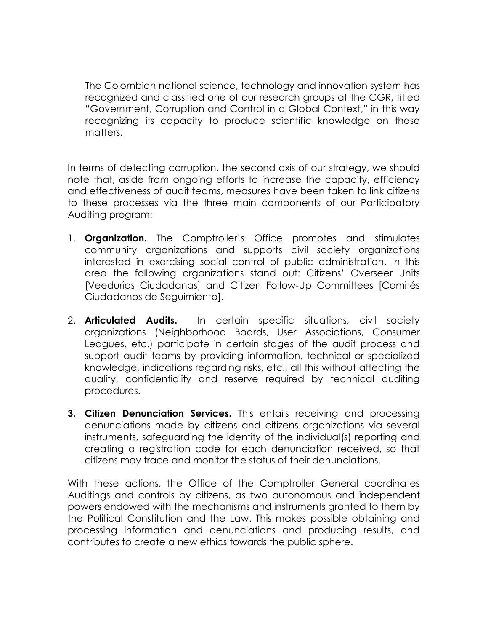The Colombian national science, technology and innovation system has recognized and classified one of our research groups at the CGR, titled "Government, Corruption and Control in a Global Context," in this way recognizing its capacity to produce scientific knowledge on these matters.

In terms of detecting corruption, the second axis of our strategy, we should note that, aside from ongoing efforts to increase the capacity, efficiency and effectiveness of audit teams, measures have been taken to link citizens to these processes via the three main components of our Participatory Auditing program:

- 1. **Organization.** The Comptroller's Office promotes and stimulates community organizations and supports civil society organizations interested in exercising social control of public administration. In this area the following organizations stand out: Citizens' Overseer Units [Veedurías Ciudadanas] and Citizen Follow-Up Committees [Comités Ciudadanos de Seguimiento].
- 2. **Articulated Audits.** In certain specific situations, civil society organizations (Neighborhood Boards, User Associations, Consumer Leagues, etc.) participate in certain stages of the audit process and support audit teams by providing information, technical or specialized knowledge, indications regarding risks, etc., all this without affecting the quality, confidentiality and reserve required by technical auditing procedures.
- **3. Citizen Denunciation Services.** This entails receiving and processing denunciations made by citizens and citizens organizations via several instruments, safeguarding the identity of the individual(s) reporting and creating a registration code for each denunciation received, so that citizens may trace and monitor the status of their denunciations.

With these actions, the Office of the Comptroller General coordinates Auditings and controls by citizens, as two autonomous and independent powers endowed with the mechanisms and instruments granted to them by the Political Constitution and the Law. This makes possible obtaining and processing information and denunciations and producing results, and contributes to create a new ethics towards the public sphere.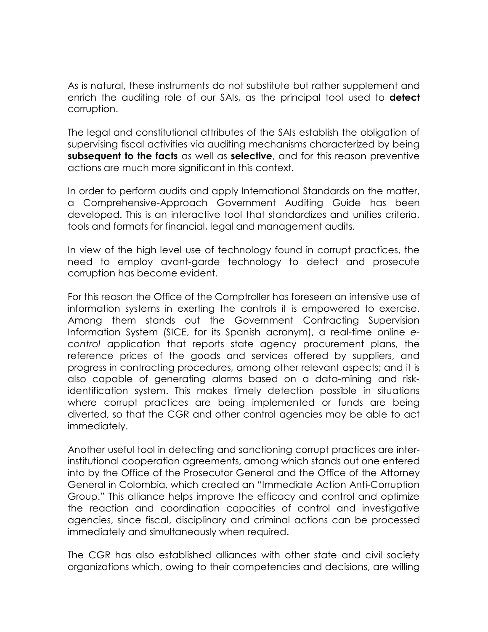As is natural, these instruments do not substitute but rather supplement and enrich the auditing role of our SAIs, as the principal tool used to **detect** corruption.

The legal and constitutional attributes of the SAIs establish the obligation of supervising fiscal activities via auditing mechanisms characterized by being **subsequent to the facts** as well as **selective**, and for this reason preventive actions are much more significant in this context.

In order to perform audits and apply International Standards on the matter, a Comprehensive-Approach Government Auditing Guide has been developed. This is an interactive tool that standardizes and unifies criteria, tools and formats for financial, legal and management audits.

In view of the high level use of technology found in corrupt practices, the need to employ avant-garde technology to detect and prosecute corruption has become evident.

For this reason the Office of the Comptroller has foreseen an intensive use of information systems in exerting the controls it is empowered to exercise. Among them stands out the Government Contracting Supervision Information System (SICE, for its Spanish acronym), a real-time online *econtrol* application that reports state agency procurement plans, the reference prices of the goods and services offered by suppliers, and progress in contracting procedures, among other relevant aspects; and it is also capable of generating alarms based on a data-mining and riskidentification system. This makes timely detection possible in situations where corrupt practices are being implemented or funds are being diverted, so that the CGR and other control agencies may be able to act immediately.

Another useful tool in detecting and sanctioning corrupt practices are interinstitutional cooperation agreements, among which stands out one entered into by the Office of the Prosecutor General and the Office of the Attorney General in Colombia, which created an "Immediate Action Anti-Corruption Group." This alliance helps improve the efficacy and control and optimize the reaction and coordination capacities of control and investigative agencies, since fiscal, disciplinary and criminal actions can be processed immediately and simultaneously when required.

The CGR has also established alliances with other state and civil society organizations which, owing to their competencies and decisions, are willing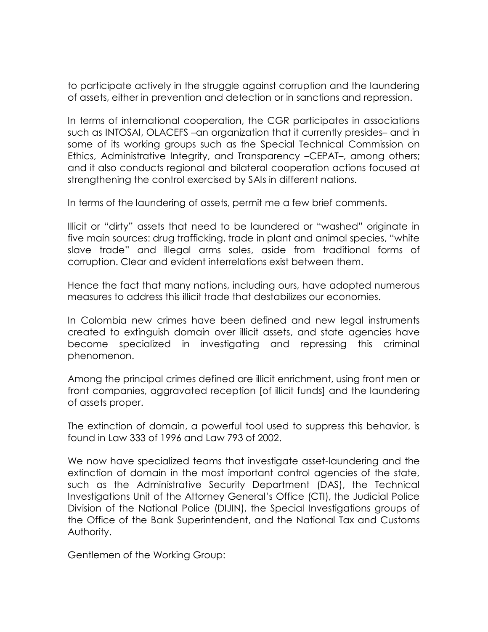to participate actively in the struggle against corruption and the laundering of assets, either in prevention and detection or in sanctions and repression.

In terms of international cooperation, the CGR participates in associations such as INTOSAI, OLACEFS –an organization that it currently presides– and in some of its working groups such as the Special Technical Commission on Ethics, Administrative Integrity, and Transparency –CEPAT–, among others; and it also conducts regional and bilateral cooperation actions focused at strengthening the control exercised by SAIs in different nations.

In terms of the laundering of assets, permit me a few brief comments.

Illicit or "dirty" assets that need to be laundered or "washed" originate in five main sources: drug trafficking, trade in plant and animal species, "white slave trade" and illegal arms sales, aside from traditional forms of corruption. Clear and evident interrelations exist between them.

Hence the fact that many nations, including ours, have adopted numerous measures to address this illicit trade that destabilizes our economies.

In Colombia new crimes have been defined and new legal instruments created to extinguish domain over illicit assets, and state agencies have become specialized in investigating and repressing this criminal phenomenon.

Among the principal crimes defined are illicit enrichment, using front men or front companies, aggravated reception [of illicit funds] and the laundering of assets proper.

The extinction of domain, a powerful tool used to suppress this behavior, is found in Law 333 of 1996 and Law 793 of 2002.

We now have specialized teams that investigate asset-laundering and the extinction of domain in the most important control agencies of the state, such as the Administrative Security Department (DAS), the Technical Investigations Unit of the Attorney General's Office (CTI), the Judicial Police Division of the National Police (DIJIN), the Special Investigations groups of the Office of the Bank Superintendent, and the National Tax and Customs Authority.

Gentlemen of the Working Group: